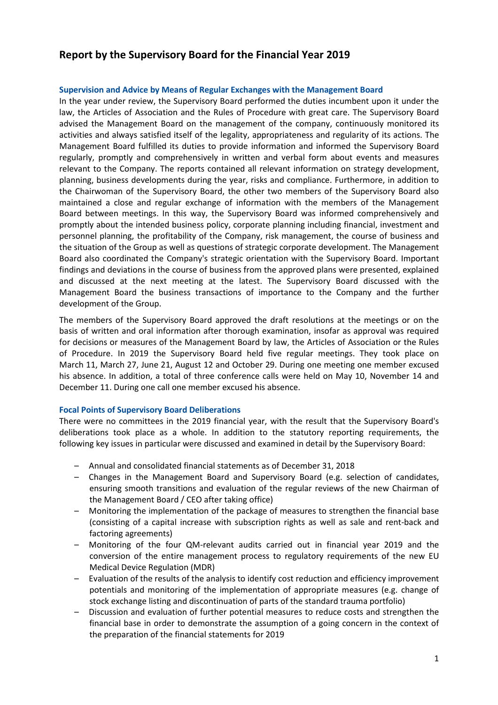# **Report by the Supervisory Board for the Financial Year 2019**

### **Supervision and Advice by Means of Regular Exchanges with the Management Board**

In the year under review, the Supervisory Board performed the duties incumbent upon it under the law, the Articles of Association and the Rules of Procedure with great care. The Supervisory Board advised the Management Board on the management of the company, continuously monitored its activities and always satisfied itself of the legality, appropriateness and regularity of its actions. The Management Board fulfilled its duties to provide information and informed the Supervisory Board regularly, promptly and comprehensively in written and verbal form about events and measures relevant to the Company. The reports contained all relevant information on strategy development, planning, business developments during the year, risks and compliance. Furthermore, in addition to the Chairwoman of the Supervisory Board, the other two members of the Supervisory Board also maintained a close and regular exchange of information with the members of the Management Board between meetings. In this way, the Supervisory Board was informed comprehensively and promptly about the intended business policy, corporate planning including financial, investment and personnel planning, the profitability of the Company, risk management, the course of business and the situation of the Group as well as questions of strategic corporate development. The Management Board also coordinated the Company's strategic orientation with the Supervisory Board. Important findings and deviations in the course of business from the approved plans were presented, explained and discussed at the next meeting at the latest. The Supervisory Board discussed with the Management Board the business transactions of importance to the Company and the further development of the Group.

The members of the Supervisory Board approved the draft resolutions at the meetings or on the basis of written and oral information after thorough examination, insofar as approval was required for decisions or measures of the Management Board by law, the Articles of Association or the Rules of Procedure. In 2019 the Supervisory Board held five regular meetings. They took place on March 11, March 27, June 21, August 12 and October 29. During one meeting one member excused his absence. In addition, a total of three conference calls were held on May 10, November 14 and December 11. During one call one member excused his absence.

## **Focal Points of Supervisory Board Deliberations**

There were no committees in the 2019 financial year, with the result that the Supervisory Board's deliberations took place as a whole. In addition to the statutory reporting requirements, the following key issues in particular were discussed and examined in detail by the Supervisory Board:

- Annual and consolidated financial statements as of December 31, 2018
- Changes in the Management Board and Supervisory Board (e.g. selection of candidates, ensuring smooth transitions and evaluation of the regular reviews of the new Chairman of the Management Board / CEO after taking office)
- Monitoring the implementation of the package of measures to strengthen the financial base (consisting of a capital increase with subscription rights as well as sale and rent-back and factoring agreements)
- Monitoring of the four QM-relevant audits carried out in financial year 2019 and the conversion of the entire management process to regulatory requirements of the new EU Medical Device Regulation (MDR)
- Evaluation of the results of the analysis to identify cost reduction and efficiency improvement potentials and monitoring of the implementation of appropriate measures (e.g. change of stock exchange listing and discontinuation of parts of the standard trauma portfolio)
- Discussion and evaluation of further potential measures to reduce costs and strengthen the financial base in order to demonstrate the assumption of a going concern in the context of the preparation of the financial statements for 2019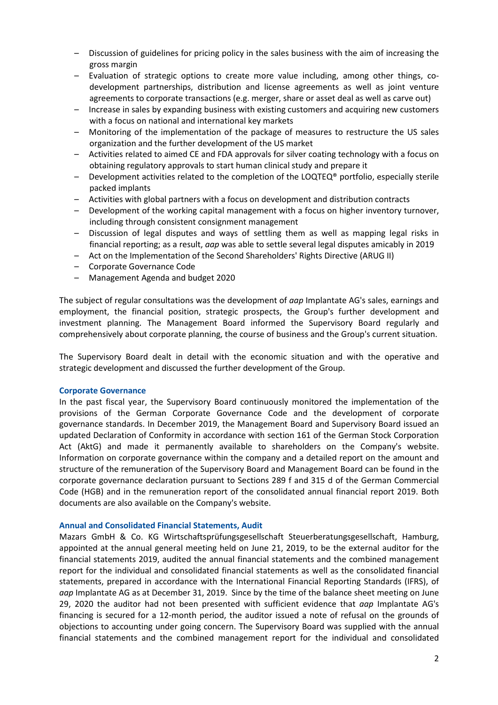- Discussion of guidelines for pricing policy in the sales business with the aim of increasing the gross margin
- Evaluation of strategic options to create more value including, among other things, codevelopment partnerships, distribution and license agreements as well as joint venture agreements to corporate transactions (e.g. merger, share or asset deal as well as carve out)
- Increase in sales by expanding business with existing customers and acquiring new customers with a focus on national and international key markets
- Monitoring of the implementation of the package of measures to restructure the US sales organization and the further development of the US market
- Activities related to aimed CE and FDA approvals for silver coating technology with a focus on obtaining regulatory approvals to start human clinical study and prepare it
- $-$  Development activities related to the completion of the LOQTEQ® portfolio, especially sterile packed implants
- Activities with global partners with a focus on development and distribution contracts
- Development of the working capital management with a focus on higher inventory turnover, including through consistent consignment management
- Discussion of legal disputes and ways of settling them as well as mapping legal risks in financial reporting; as a result, *aap* was able to settle several legal disputes amicably in 2019
- Act on the Implementation of the Second Shareholders' Rights Directive (ARUG II)
- Corporate Governance Code
- Management Agenda and budget 2020

The subject of regular consultations was the development of *aap* Implantate AG's sales, earnings and employment, the financial position, strategic prospects, the Group's further development and investment planning. The Management Board informed the Supervisory Board regularly and comprehensively about corporate planning, the course of business and the Group's current situation.

The Supervisory Board dealt in detail with the economic situation and with the operative and strategic development and discussed the further development of the Group.

## **Corporate Governance**

In the past fiscal year, the Supervisory Board continuously monitored the implementation of the provisions of the German Corporate Governance Code and the development of corporate governance standards. In December 2019, the Management Board and Supervisory Board issued an updated Declaration of Conformity in accordance with section 161 of the German Stock Corporation Act (AktG) and made it permanently available to shareholders on the Company's website. Information on corporate governance within the company and a detailed report on the amount and structure of the remuneration of the Supervisory Board and Management Board can be found in the corporate governance declaration pursuant to Sections 289 f and 315 d of the German Commercial Code (HGB) and in the remuneration report of the consolidated annual financial report 2019. Both documents are also available on the Company's website.

## **Annual and Consolidated Financial Statements, Audit**

Mazars GmbH & Co. KG Wirtschaftsprüfungsgesellschaft Steuerberatungsgesellschaft, Hamburg, appointed at the annual general meeting held on June 21, 2019, to be the external auditor for the financial statements 2019, audited the annual financial statements and the combined management report for the individual and consolidated financial statements as well as the consolidated financial statements, prepared in accordance with the International Financial Reporting Standards (IFRS), of *aap* Implantate AG as at December 31, 2019. Since by the time of the balance sheet meeting on June 29, 2020 the auditor had not been presented with sufficient evidence that *aap* Implantate AG's financing is secured for a 12-month period, the auditor issued a note of refusal on the grounds of objections to accounting under going concern. The Supervisory Board was supplied with the annual financial statements and the combined management report for the individual and consolidated